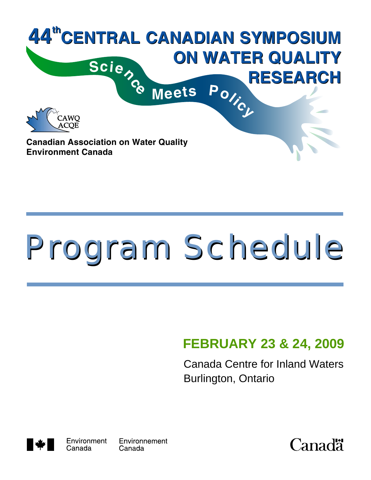

# Program Schedule Program Schedule

## **FEBRUARY 23 & 24, 2009**

Canada Centre for Inland Waters Burlington, Ontario



Environment Canada

Environnement Canada

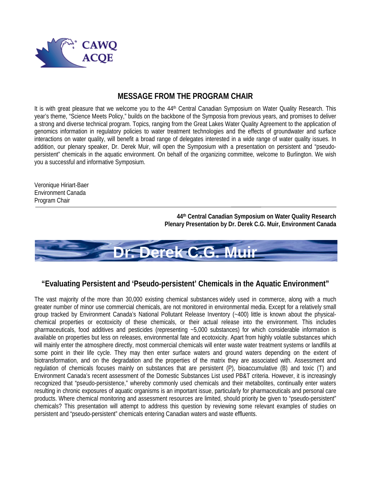

#### **MESSAGE FROM THE PROGRAM CHAIR**

It is with great pleasure that we welcome you to the 44<sup>th</sup> Central Canadian Symposium on Water Quality Research. This year's theme, "Science Meets Policy," builds on the backbone of the Symposia from previous years, and promises to deliver a strong and diverse technical program. Topics, ranging from the Great Lakes Water Quality Agreement to the application of genomics information in regulatory policies to water treatment technologies and the effects of groundwater and surface interactions on water quality, will benefit a broad range of delegates interested in a wide range of water quality issues. In addition, our plenary speaker, Dr. Derek Muir, will open the Symposium with a presentation on persistent and "pseudopersistent" chemicals in the aquatic environment. On behalf of the organizing committee, welcome to Burlington. We wish you a successful and informative Symposium.

Veronique Hiriart-Baer Environment Canada Program Chair

> **44th Central Canadian Symposium on Water Quality Research Plenary Presentation by Dr. Derek C.G. Muir, Environment Canada**



#### **"Evaluating Persistent and 'Pseudo-persistent' Chemicals in the Aquatic Environment"**

The vast majority of the more than 30,000 existing chemical substances widely used in commerce, along with a much greater number of minor use commercial chemicals, are not monitored in environmental media. Except for a relatively small group tracked by Environment Canada's National Pollutant Release Inventory (~400) little is known about the physicalchemical properties or ecotoxicity of these chemicals, or their actual release into the environment. This includes pharmaceuticals, food additives and pesticides (representing ~5,000 substances) for which considerable information is available on properties but less on releases, environmental fate and ecotoxicity. Apart from highly volatile substances which will mainly enter the atmosphere directly, most commercial chemicals will enter waste water treatment systems or landfills at some point in their life cycle. They may then enter surface waters and ground waters depending on the extent of biotransformation, and on the degradation and the properties of the matrix they are associated with. Assessment and regulation of chemicals focuses mainly on substances that are persistent (P), bioaccumulative (B) and toxic (T) and Environment Canada's recent assessment of the Domestic Substances List used PB&T criteria. However, it is increasingly recognized that "pseudo-persistence," whereby commonly used chemicals and their metabolites, continually enter waters resulting in chronic exposures of aquatic organisms is an important issue, particularly for pharmaceuticals and personal care products. Where chemical monitoring and assessment resources are limited, should priority be given to "pseudo-persistent" chemicals? This presentation will attempt to address this question by reviewing some relevant examples of studies on persistent and "pseudo-persistent" chemicals entering Canadian waters and waste effluents.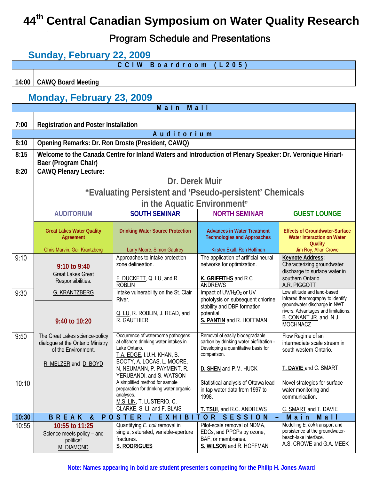## **44th Central Canadian Symposium on Water Quality Research**

Program Schedule and Presentations

#### **Sunday, February 22, 2009 CCIW Boardroom (L205) 14:00 CAWQ Board Meeting Monday, February 23, 2009 Main Mall 7:00 Registration and Poster Installation Auditorium 8:10 Opening Remarks: Dr. Ron Droste (President, CAWQ) 8:15 Welcome to the Canada Centre for Inland Waters and Introduction of Plenary Speaker: Dr. Veronique Hiriart-Baer (Program Chair) 8:20 CAWQ Plenary Lecture: Dr. Derek Muir "Evaluating Persistent and 'Pseudo-persistent' Chemicals in the Aquatic Environment" AUDITORIUM SOUTH SEMINAR NORTH SEMINAR GUEST LOUNGE Great Lakes Water Quality Agreement** Chris Marvin, Gail Krantzberg **Drinking Water Source Protection** Larry Moore, Simon Gautrey **Advances in Water Treatment Technologies and Approaches** Kirsten Exall, Ron Hoffman **Effects of Groundwater-Surface Water Interaction on Water Quality**  Jim Roy, Allan Crowe 9:10 **9:10 to 9:40** Great Lakes Great Responsibilities. Approaches to intake protection zone delineation. F. DUCKETT, Q. LU, and R. ROBLIN The application of artificial neural networks for optimization. **K. GRIFFITHS** and R.C. ANDREWS **Keynote Address:** Characterizing groundwater discharge to surface water in southern Ontario. A.R. PIGGOTT 9:30 G. KRANTZBERG **9:40 to 10:20** Intake vulnerability on the St. Clair River. Q. LU, R. ROBLIN, J. READ, and R. GAUTHIER Impact of  $UV/H<sub>2</sub>O<sub>2</sub>$  or UV photolysis on subsequent chlorine stability and DBP formation potential. **S. PANTIN** and R. HOFFMAN Low altitude and land-based infrared thermography to identify groundwater discharge in NWT rivers: Advantages and limitations. B. CONANT JR. and N.J. **MOCHNACZ** 9:50 | The Great Lakes science-policy dialogue at the Ontario Ministry of the Environment. R. MELZER and D. BOYD Occurrence of waterborne pathogens at offshore drinking water intakes in Lake Ontario. T.A. EDGE, I.U.H. KHAN, B. BOOTY, A. LOCAS, L. MOORE, N, NEUMANN, P. PAYMENT, R. YERUBANDI, and S. WATSON Removal of easily biodegradable carbon by drinking water biofiltration - Developing a quantitative basis for comparison. **D. SHEN** and P.M. HUCK Flow Regime of an intermediate scale stream in south western Ontario. **T. DAVIE** and C. SMART 10:10 **A** simplified method for sample preparation for drinking water organic analyses. M.S. LIN, T. LUSTERIO, C. CLARKE, S. LI, and F. BLAIS Statistical analysis of Ottawa lead in tap water data from 1997 to 1998. **T. TSUI**, and R.C. ANDREWS Novel strategies for surface water monitoring and communication. C. SMART and T. DAVIE 10:30 | BREAK & POSTER / EXHIBITOR SESSION - Main Mall 10:55 **10:55 to 11:25**  Science meets policy – and politics! M. DIAMOND Quantifying *E. coli* removal in single, saturated, variable-aperture fractures. **S. RODRIGUES** Pilot-scale removal of NDMA, EDCs, and PPCPs by ozone, BAF, or membranes. **S. WILSON** and R. HOFFMAN Modelling *E. coli* transport and persistence at the groundwaterbeach-lake interface. A.S. CROWE and G.A. MEEK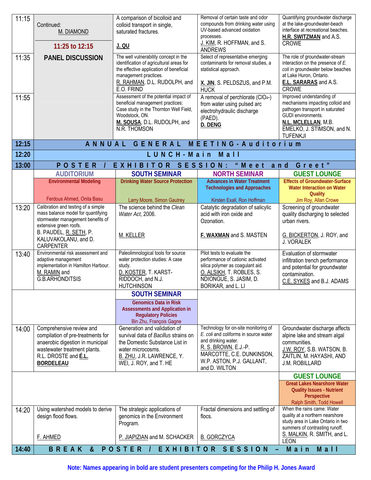| 11:15 | Continued:<br>M. DIAMOND                                                                                                                                                      | A comparison of bicolloid and<br>colloid transport in single,<br>saturated fractures.                                                                                                               | Removal of certain taste and odor<br>compounds from drinking water using<br>UV-based advanced oxidation<br>processes.<br>J. KIM, R. HOFFMAN, and S.                                                     | Quantifying groundwater discharge<br>at the lake-groundwater-beach<br>interface at recreational beaches.<br>H.R. SWITZMAN and A.S.                                              |
|-------|-------------------------------------------------------------------------------------------------------------------------------------------------------------------------------|-----------------------------------------------------------------------------------------------------------------------------------------------------------------------------------------------------|---------------------------------------------------------------------------------------------------------------------------------------------------------------------------------------------------------|---------------------------------------------------------------------------------------------------------------------------------------------------------------------------------|
|       | 11:25 to 12:15                                                                                                                                                                | J. QU                                                                                                                                                                                               | ANDREWS                                                                                                                                                                                                 | <b>CROWE</b>                                                                                                                                                                    |
| 11:35 | <b>PANEL DISCUSSION</b>                                                                                                                                                       | The well vulnerability concept in the<br>identification of agricultural areas for<br>the effective application of beneficial<br>management practices.<br>R. RAHMAN, D.L. RUDOLPH, and<br>E.O. FRIND | Select of representative emerging<br>contaminants for removal studies, a<br>statistical approach.<br>X. JIN, S. PELDSZUS, and P.M.<br><b>HUCK</b>                                                       | The role of groundwater-stream<br>interaction on the presence of $E$ .<br>coli in groundwater below beaches<br>at Lake Huron, Ontario.<br>E.L. SARARAS and A.S.<br><b>CROWE</b> |
| 11:55 |                                                                                                                                                                               | Assessment of the potential impact of                                                                                                                                                               | A removal of perchlorate (CIO <sub>4</sub> -)                                                                                                                                                           | Improved understanding of                                                                                                                                                       |
|       |                                                                                                                                                                               | beneficial management practices:<br>Case study in the Thornton Well Field,<br>Woodstock, ON.<br>M. SOUSA, D.L. RUDOLPH, and<br>N.R. THOMSON                                                         | from water using pulsed arc<br>electrohydraulic discharge<br>(PAED).<br>D. DENG                                                                                                                         | mechanisms impacting colloid and<br>pathogen transport in saturated<br>GUDI environments.<br>N.L. MCLELLAN, M.B.<br>EMELKO, J. STIMSON, and N.<br><b>TUFENKJI</b>               |
| 12:15 |                                                                                                                                                                               | ANNUAL GENERAL MEETING - Auditorium                                                                                                                                                                 |                                                                                                                                                                                                         |                                                                                                                                                                                 |
| 12:20 |                                                                                                                                                                               | LUNCH-Main                                                                                                                                                                                          | $M a$                                                                                                                                                                                                   |                                                                                                                                                                                 |
| 13:00 | POSTER                                                                                                                                                                        | EXHIBITOR SESSION: "Meet                                                                                                                                                                            |                                                                                                                                                                                                         | Greet"<br>and                                                                                                                                                                   |
|       | <b>AUDITORIUM</b>                                                                                                                                                             | <b>SOUTH SEMINAR</b>                                                                                                                                                                                | <b>NORTH SEMINAR</b>                                                                                                                                                                                    | <b>GUEST LOUNGE</b>                                                                                                                                                             |
|       | <b>Environmental Modeling</b><br>Ferdous Ahmed, Onita Basu                                                                                                                    | <b>Drinking Water Source Protection</b><br>Larry Moore, Simon Gautrey                                                                                                                               | <b>Advances in Water Treatment</b><br><b>Technologies and Approaches</b><br>Kirsten Exall, Ron Hoffman                                                                                                  | <b>Effects of Groundwater-Surface</b><br>Water Interaction on Water<br><b>Quality</b><br>Jim Roy, Allan Crowe                                                                   |
| 13:20 | Calibration and testing of a simple                                                                                                                                           | The science behind the Clean                                                                                                                                                                        | Catalytic degradation of salicylic                                                                                                                                                                      | Screening of groundwater                                                                                                                                                        |
|       | mass balance model for quantifying<br>stormwater management benefits of<br>extensive green roofs.                                                                             | Water Act, 2006.                                                                                                                                                                                    | acid with iron oxide and<br>Ozonation.                                                                                                                                                                  | quality discharging to selected<br>urban rivers.                                                                                                                                |
|       | B. PAUDEL, R. SETH, P.<br>KALUVAKOLANU, and D.<br><b>CARPENTER</b>                                                                                                            | M. KELLER                                                                                                                                                                                           | F. WAXMAN and S. MASTEN                                                                                                                                                                                 | G. BICKERTON, J. ROY, and<br>J. VORALEK                                                                                                                                         |
| 13:40 | Environmental risk assessment and<br>adaptive management<br>implementation in Hamilton Harbour.<br>M. RAMIN and<br><b>G.B.ARHONDITSIS</b>                                     | Paleolimnological tools for source<br>water protection studies: A case<br>study.<br>D. KOSTER, T. KARST-<br>RIDDOCH, and N.J.<br><b>HUTCHINSON</b>                                                  | Pilot tests to evaluate the<br>performance of cationic activated<br>silica polymer as coagulant aid.<br>O. ALSIKH, T. ROBLES, S.<br>NDIONGUE, S. JASIM, D.<br>BORIKAR, and L. LI                        | Evaluation of stormwater<br>infiltration trench performance<br>and potential for groundwater<br>contamination.<br>C.E. SYKES and B.J. ADAMS                                     |
|       |                                                                                                                                                                               | <b>SOUTH SEMINAR</b>                                                                                                                                                                                |                                                                                                                                                                                                         |                                                                                                                                                                                 |
|       |                                                                                                                                                                               | <b>Genomics Data in Risk</b><br><b>Assessments and Application in</b><br><b>Regulatory Policies</b><br>Bin Zhu, François Gagne                                                                      |                                                                                                                                                                                                         |                                                                                                                                                                                 |
| 14:00 | Comprehensive review and<br>compilation of pre-treatments for<br>anaerobic digestion in municipal<br>wastewater treatment plants.<br>R.L. DROSTE and E.L.<br><b>BORDELEAU</b> | Generation and validation of<br>survival data of <b>Bacillus</b> strains on<br>the Domestic Substance List in<br>water microcosms.<br>B. ZHU, J.R. LAWRENCE, Y.<br>WEI, J. ROY, and T. HE           | Technology for on-site monitoring of<br>E. coli and coliforms in source water<br>and drinking water.<br>R. S. BROWN, E.J.-P.<br>MARCOTTE, C.E. DUNKINSON,<br>W.P. ASTON, P.J. GALLANT,<br>and D. WILTON | Groundwater discharge affects<br>alpine lake and stream algal<br>communities.<br>J.W. ROY, S.B. WATSON, B.<br>ZAITLIN, M. HAYASHI, AND<br>J.M. ROBILLARD                        |
|       |                                                                                                                                                                               |                                                                                                                                                                                                     |                                                                                                                                                                                                         | <b>GUEST LOUNGE</b><br><b>Great Lakes Nearshore Water</b><br><b>Quality Issues - Nutrient</b><br>Perspective<br>Ralph Smith, Todd Howell                                        |
| 14:20 | Using watershed models to derive<br>design flood flows.                                                                                                                       | The strategic applications of<br>genomics in the Environment<br>Program.                                                                                                                            | Fractal dimensions and settling of<br>flocs.                                                                                                                                                            | When the rains came: Water<br>quality at a northern nearshore<br>study area in Lake Ontario in two<br>summers of contrasting runoff.                                            |
|       | F. AHMED                                                                                                                                                                      | P. JIAPIZIAN and M. SCHACKER                                                                                                                                                                        | <b>B. GORCZYCA</b>                                                                                                                                                                                      | S. MALKIN, R. SMITH, and L.<br><b>LEON</b>                                                                                                                                      |
| 14:40 | BREAK<br>$\boldsymbol{\alpha}$                                                                                                                                                | POSTER<br>EXHIBIT                                                                                                                                                                                   | 0 R<br><b>SESSION</b><br>$\overline{\phantom{a}}$                                                                                                                                                       | Main<br>$M a$                                                                                                                                                                   |

**Note: Names appearing in bold are student presenters competing for the Philip H. Jones Award**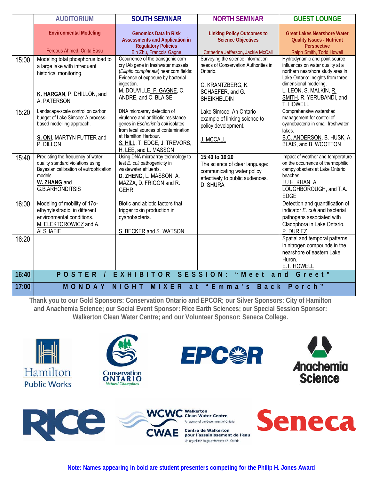|       | <b>AUDITORIUM</b>                                                                                                                                                     | <b>SOUTH SEMINAR</b>                                                                                                                                                                                                              | <b>NORTH SEMINAR</b>                                                                                                                          | <b>GUEST LOUNGE</b>                                                                                                                                                                                                                    |
|-------|-----------------------------------------------------------------------------------------------------------------------------------------------------------------------|-----------------------------------------------------------------------------------------------------------------------------------------------------------------------------------------------------------------------------------|-----------------------------------------------------------------------------------------------------------------------------------------------|----------------------------------------------------------------------------------------------------------------------------------------------------------------------------------------------------------------------------------------|
|       | <b>Environmental Modeling</b><br>Ferdous Ahmed. Onita Basu                                                                                                            | <b>Genomics Data in Risk</b><br><b>Assessments and Application in</b><br><b>Regulatory Policies</b><br>Bin Zhu, François Gagne                                                                                                    | <b>Linking Policy Outcomes to</b><br><b>Science Objectives</b><br>Catherine Jefferson, Jackie McCall                                          | <b>Great Lakes Nearshore Water</b><br><b>Quality Issues - Nutrient</b><br>Perspective<br>Ralph Smith, Todd Howell                                                                                                                      |
| 15:00 | Modeling total phosphorus load to<br>a large lake with infrequent<br>historical monitoring.<br>K. HARGAN, P. DHILLON, and<br>A. PATERSON                              | Occurrence of the transgenic corn<br>cry1Ab gene in freshwater mussels<br>(Elliptio complanata) near corn fields:<br>Evidence of exposure by bacterial<br>ingestion.<br>M. DOUVILLE, F. GAGNE, C.<br>ANDRE, and C. BLAISE         | Surveying the science information<br>needs of Conservation Authorities in<br>Ontario.<br>G. KRANTZBERG, K.<br>SCHAEFER, and G.<br>SHEIKHELDIN | Hydrodynamic and point source<br>influences on water quality at a<br>northern nearshore study area in<br>Lake Ontario: Insights from three<br>dimensional modeling.<br>L. LEON, S. MALKIN, R.<br>SMITH, R. YERUBANDI, and<br>T. HOWELL |
| 15:20 | Landscape-scale control on carbon<br>budget of Lake Simcoe: A process-<br>based modelling approach.<br>S. ONI, MARTYN FUTTER and<br>P. DILLON                         | DNA microarray detection of<br>virulence and antibiotic resistance<br>genes in Escherichia coli isolates<br>from fecal sources of contamination<br>at Hamilton Harbour.<br>S. HILL, T. EDGE, J. TREVORS,<br>H. LEE, and L. MASSON | Lake Simcoe: An Ontario<br>example of linking science to<br>policy development.<br>J. MCCALL                                                  | Comprehensive watershed<br>management for control of<br>cyanobacteria in small freshwater<br>lakes.<br>B.C. ANDERSON, B. HUSK, A.<br>BLAIS, and B. WOOTTON                                                                             |
| 15:40 | Predicting the frequency of water<br>quality standard violations using<br>Bayesian calibration of eutrophication<br>models.<br>W. ZHANG and<br><b>G.B.ARHONDITSIS</b> | Using DNA microarray technology to<br>test E. coli pathogenicity in<br>wastewater effluents.<br>D. ZHENG, L. MASSON, A.<br>MAZZA, D. FRIGON and R.<br><b>GEHR</b>                                                                 | 15:40 to 16:20<br>The science of clear language:<br>communicating water policy<br>effectively to public audiences.<br>D. SHURA                | Impact of weather and temperature<br>on the occurrence of thermophilic<br>campylobacters at Lake Ontario<br>beaches.<br>I.U.H. KHAN, A.<br>LOUGHBOROUGH, and T.A.<br><b>EDGE</b>                                                       |
| 16:00 | Modeling of mobility of 17a-<br>ethynylestradiol in different<br>environmental conditions.<br>M. ELEKTOROWICZ and A.<br><b>ALSHAFIE</b>                               | Biotic and abiotic factors that<br>trigger toxin production in<br>cyanobacteria.<br>S. BECKER and S. WATSON                                                                                                                       |                                                                                                                                               | Detection and quantification of<br>indicator E. coli and bacterial<br>pathogens associated with<br>Cladophora in Lake Ontario.<br>P. DURIEZ                                                                                            |
| 16:20 |                                                                                                                                                                       |                                                                                                                                                                                                                                   |                                                                                                                                               | Spatial and temporal patterns<br>in nitrogen compounds in the<br>nearshore of eastern Lake<br>Huron.<br>E.T. HOWELL                                                                                                                    |
| 16:40 | POSTER<br>$\blacklozenge$                                                                                                                                             | EXHIBITOR                                                                                                                                                                                                                         | SESSION: "Meet                                                                                                                                | Greet"<br>and                                                                                                                                                                                                                          |
| 17:00 | MONDAY                                                                                                                                                                | NIGHT                                                                                                                                                                                                                             | MIXER at "Emma's Back Porch"                                                                                                                  |                                                                                                                                                                                                                                        |

**Thank you to our Gold Sponsors: Conservation Ontario and EPCOR; our Silver Sponsors: City of Hamilton and Anachemia Science; our Social Event Sponsor: Rice Earth Sciences; our Special Session Sponsor: Walkerton Clean Water Centre; and our Volunteer Sponsor: Seneca College.**













**Clean Water Centre** An agency of the Government of Ontario **Centre de Walkerton** 

Un organisme du gouvernement de l'Ontario

**Seneca** pour l'assainissement de l'eau

Walkerton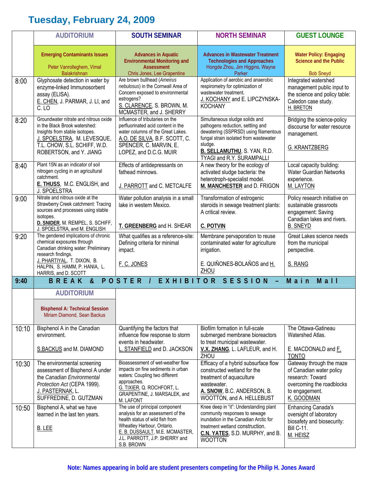## **Tuesday, February 24, 2009**

|       | <b>AUDITORIUM</b>                                                                                                                                                                                                                                                                                                                                                                                    | <b>SOUTH SEMINAR</b>                                                                                                                                                                                                  | <b>NORTH SEMINAR</b>                                                                                                                                                                                                                 | <b>GUEST LOUNGE</b>                                                                                                                                   |  |
|-------|------------------------------------------------------------------------------------------------------------------------------------------------------------------------------------------------------------------------------------------------------------------------------------------------------------------------------------------------------------------------------------------------------|-----------------------------------------------------------------------------------------------------------------------------------------------------------------------------------------------------------------------|--------------------------------------------------------------------------------------------------------------------------------------------------------------------------------------------------------------------------------------|-------------------------------------------------------------------------------------------------------------------------------------------------------|--|
|       | <b>Emerging Contaminants Issues</b><br>Peter Vanrolleghem, Vimal<br>Balakrishnan                                                                                                                                                                                                                                                                                                                     | <b>Advances in Aquatic</b><br><b>Environmental Monitoring and</b><br><b>Assessment</b><br>Chris Jones, Lee Grapentine                                                                                                 | <b>Advances in Wastewater Treatment</b><br><b>Technologies and Approaches</b><br>Hongde Zhou, Jim Higgins, Wayne<br>Parker                                                                                                           | <b>Water Policy: Engaging</b><br>Science and the Public<br><b>Bob Sneyd</b>                                                                           |  |
| 8:00  | Glyphosate detection in water by<br>enzyme-linked Immunosorbent<br>assay (ELISA).<br>E. CHEN, J. PARMAR, J. LI, and<br>C.LO                                                                                                                                                                                                                                                                          | Are brown bullhead (Ameirus<br>nebulosus) in the Cornwall Area of<br>Concern exposed to environmental<br>estrogens?<br>S. CLARENCE, S. BROWN, M.<br>MCMASTER, and J. SHERRY                                           | Application of aerobic and anaerobic<br>respirometry for optimization of<br>wastewater treatment.<br>J. KOCHANY and E. LIPCZYNSKA-<br><b>KOCHANY</b>                                                                                 | Integrated watershed<br>management public input to<br>the science and policy table:<br>Caledon case study.<br>H. BRETON                               |  |
| 8:20  | Groundwater nitrate and nitrous oxide<br>Influence of tributaries on the<br>in the Black Brook watershed:<br>perfluorinated acid content in the<br>Insights from stable isotopes.<br>water columns of the Great Lakes.<br>J. SPOELSTRA, M. LEVESQUE,<br>A.O. DE SILVA, B.F. SCOTT, C.<br>T.L. CHOW, S.L. SCHIFF, W.D.<br>SPENCER, C. MARVIN, E.<br>ROBERTSON, and Y. JIANG<br>LOPEZ, and D.C.G. MUIR |                                                                                                                                                                                                                       | Simultaneous sludge solids and<br>pathogens reduction, settling and<br>dewatering (SSPRSD) using filamentous<br>fungal strain isolated from wastewater<br>sludge.<br><b>B. SELLAMUTHU, S. YAN, R.D.</b><br>TYAGI and R.Y. SURAMPALLI | Bridging the science-policy<br>discourse for water resource<br>management.<br>G. KRANTZBERG                                                           |  |
| 8:40  | Plant 15N as an indicator of soil<br>Effects of antidepressants on<br>nitrogen cycling in an agricultural<br>fathead minnows.<br>catchment.<br>E. THUSS, M.C. ENGLISH, and<br>J. PARROTT and C. METCALFE<br><b>J. SPOELSTRA</b>                                                                                                                                                                      |                                                                                                                                                                                                                       | A new theory for the ecology of<br>activated sludge bacteria: the<br>heterotroph-specialist model.<br>M. MANCHESTER and D. FRIGON                                                                                                    | Local capacity building:<br><b>Water Guardian Networks</b><br>experience.<br>M. LAYTON                                                                |  |
| 9:00  | Nitrate and nitrous oxide at the<br>Water pollution analysis in a small<br>Strawberry Creek catchment: Tracing<br>lake in western Mexico.<br>sources and processes using stable<br>isotopes.<br>D. SNIDER, M. REMPEL, S. SCHIFF,<br>T. GREENBERG and H. SHEAR<br>J. SPOELSTRA, and M. ENGLISH                                                                                                        |                                                                                                                                                                                                                       | Transformation of estrogenic<br>steroids in sewage treatment plants:<br>A critical review.<br>C. POTVIN                                                                                                                              | Policy research initiative on<br>sustainable grassroots<br>engagement: Saving<br>Canadian lakes and rivers.<br><b>B. SNEYD</b>                        |  |
| 9:20  | The gendered implications of chronic<br>What qualifies as a reference-site:<br>chemical exposures through<br>Defining criteria for minimal<br>Canadian drinking water: Preliminary<br>impact.<br>research findings.<br>J. PHARTIYAL, T. DIXON, B.<br>F. C. JONES<br>HALPIN, S. HAMM, P. HANIA, L.                                                                                                    |                                                                                                                                                                                                                       | Membrane pervaporation to reuse<br>contaminated water for agriculture<br>irrigation.<br>E. QUIÑONES-BOLAÑOS and H.                                                                                                                   | Great Lakes science needs<br>from the municipal<br>perspective.<br>S. RANG                                                                            |  |
| 9:40  | HARRIS, and D. SCOTT<br>BREAK<br>$\boldsymbol{\delta}$                                                                                                                                                                                                                                                                                                                                               | EXHIBITOR<br>POSTER /                                                                                                                                                                                                 | ZHOU<br><b>SESSION</b>                                                                                                                                                                                                               | Main<br>$M a$                                                                                                                                         |  |
|       | <b>AUDITORIUM</b>                                                                                                                                                                                                                                                                                                                                                                                    |                                                                                                                                                                                                                       |                                                                                                                                                                                                                                      |                                                                                                                                                       |  |
|       | <b>Bisphenol A: Technical Session</b><br>Miriam Diamond, Sean Backus                                                                                                                                                                                                                                                                                                                                 |                                                                                                                                                                                                                       |                                                                                                                                                                                                                                      |                                                                                                                                                       |  |
| 10:10 | Bisphenol A in the Canadian<br>environment.<br>S.BACKUS and M. DIAMOND                                                                                                                                                                                                                                                                                                                               | Quantifying the factors that<br>influence flow response to storm<br>events in headwater.<br>L. STANFIELD and D. JACKSON                                                                                               | Biofilm formation in full-scale<br>submerged membrane bioreactors<br>to treat municipal wastewater.<br>V.X. ZHANG, L. LAFLEUR, and H.                                                                                                | The Ottawa-Gatineau<br>Watershed Atlas.<br>E. MACDONALD and F.                                                                                        |  |
| 10:30 | The environmental screening<br>assessment of Bisphenol A under<br>the Canadian Environmental<br>Protection Act (CEPA 1999).<br>J. PASTERNAK, L.<br>SUFFREDINE, D. GUTZMAN                                                                                                                                                                                                                            | Bioassessment of wet-weather flow<br>impacts on fine sediments in urban<br>waters: Coupling two different<br>approaches.<br>G. TIXIER, Q. ROCHFORT, L.<br>GRAPENTINE, J. MARSALEK, and<br>M. LAFONT                   | ZHOU<br>Efficacy of a hybrid subsurface flow<br>constructed wetland for the<br>treatment of aquaculture<br>wastewater.<br>A. SNOW, B.C. ANDERSON, B.<br>WOOTTON, and A. HELLEBUST                                                    | <b>TONTO</b><br>Gateway through the maze<br>of Canadian water policy<br>research: Toward<br>overcoming the roadblocks<br>to engagement.<br>K. GOODMAN |  |
| 10:50 | Bisphenol A, what we have<br>learned in the last ten years.<br><b>B. LEE</b>                                                                                                                                                                                                                                                                                                                         | The use of principal component<br>analysis for an assessment of the<br>health status of wild fish from<br>Wheatley Harbour, Ontario.<br>E. B. DUSSAULT, M.E. MCMASTER,<br>J.L. PARROTT, J.P. SHERRY and<br>S.B. BROWN | Knee deep in "it": Understanding plant<br>community responses to sewage<br>inundation in the Canadian Arctic for<br>treatment wetland construction.<br>C.N. YATES, S.D. MURPHY, and B.<br><b>WOOTTON</b>                             | <b>Enhancing Canada's</b><br>oversight of laboratory<br>biosafety and biosecurity:<br><b>Bill C-11.</b><br>M. HEISZ                                   |  |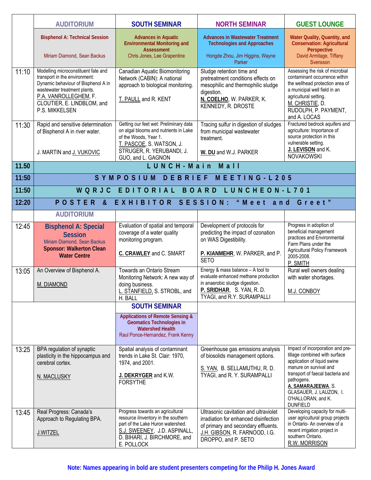|       | <b>AUDITORIUM</b><br><b>SOUTH SEMINAR</b>                                                                                                                                                                                                                                                                                                           |                                                                                                                                                                         | <b>NORTH SEMINAR</b>                                                                                                                                                          | <b>GUEST LOUNGE</b>                                                                                                                                                                                                                                                    |
|-------|-----------------------------------------------------------------------------------------------------------------------------------------------------------------------------------------------------------------------------------------------------------------------------------------------------------------------------------------------------|-------------------------------------------------------------------------------------------------------------------------------------------------------------------------|-------------------------------------------------------------------------------------------------------------------------------------------------------------------------------|------------------------------------------------------------------------------------------------------------------------------------------------------------------------------------------------------------------------------------------------------------------------|
|       | <b>Bisphenol A: Technical Session</b><br>Miriam Diamond, Sean Backus                                                                                                                                                                                                                                                                                | <b>Advances in Aquatic</b><br><b>Environmental Monitoring and</b><br><b>Assessment</b><br>Chris Jones, Lee Grapentine                                                   | <b>Advances in Wastewater Treatment</b><br><b>Technologies and Approaches</b><br>Hongde Zhou, Jim Higgins, Wayne<br>Parker                                                    | Water Quality, Quantity, and<br><b>Conservation: Agricultural</b><br>Perspective<br>David Armitage, Tiffany<br>Svensson                                                                                                                                                |
| 11:10 | Modelling microconstituent fate and<br>Canadian Aquatic Biomonitoring<br>transport in the environment:<br>Network (CABIN): A national<br>Dynamic behaviour of Bisphenol A in<br>approach to biological monitoring.<br>wastewater treatment plants.<br>P.A. VANROLLEGHEM, F.<br>T. PAULL and R. KENT<br>CLOUTIER, E. LINDBLOM, and<br>P.S. MIKKELSEN |                                                                                                                                                                         | Sludge retention time and<br>pretreatment conditions effects on<br>mesophilic and thermophilic sludge<br>digestion.<br>N. COELHO, W. PARKER, K.<br>KENNEDY, R. DROSTE         | Assessing the risk of microbial<br>contaminant occurrence within<br>the wellhead protection area of<br>a municipal well field in an<br>agricultural setting.<br>M. CHRISTIE, D.<br>RUDOLPH, P. PAYMENT,<br>and A. LOCAS                                                |
| 11:30 | Getting our feet wet: Preliminary data<br>Rapid and sensitive determination<br>on algal blooms and nutrients in Lake<br>of Bisphenol A in river water.<br>of the Woods, Year 1.<br>T. PASCOE, S. WATSON, J.<br>STRUGER, R. YERUBANDI, J.<br>J. MARTIN and J. VUKOVIC<br>GUO, and L. GAGNON                                                          |                                                                                                                                                                         | Tracing sulfur in digestion of sludges<br>from municipal wastewater<br>treatment.<br>W. DU and W.J. PARKER                                                                    | Fractured bedrock aquifers and<br>agriculture: Importance of<br>source protection in this<br>vulnerable setting.<br>J. LEVISON and K.<br><b>NOVAKOWSKI</b>                                                                                                             |
| 11.50 |                                                                                                                                                                                                                                                                                                                                                     | LUNCH - Main                                                                                                                                                            | $M a$                                                                                                                                                                         |                                                                                                                                                                                                                                                                        |
| 11:50 | SYMPOSIUM DEBRIEF<br>MEETING-L205                                                                                                                                                                                                                                                                                                                   |                                                                                                                                                                         |                                                                                                                                                                               |                                                                                                                                                                                                                                                                        |
| 11:50 | WORJC                                                                                                                                                                                                                                                                                                                                               | EDITORIAL                                                                                                                                                               | BOARD<br>LUNCHEON-L701                                                                                                                                                        |                                                                                                                                                                                                                                                                        |
| 12:20 | POSTER<br>$\alpha$                                                                                                                                                                                                                                                                                                                                  | EXHIBITOR SESSION: "Meet                                                                                                                                                | and                                                                                                                                                                           | Greet"                                                                                                                                                                                                                                                                 |
|       | <b>AUDITORIUM</b>                                                                                                                                                                                                                                                                                                                                   |                                                                                                                                                                         |                                                                                                                                                                               |                                                                                                                                                                                                                                                                        |
| 12:45 | Evaluation of spatial and temporal<br><b>Bisphenol A: Special</b><br>coverage of a water quality<br><b>Session</b><br>monitoring program.<br>Miriam Diamond, Sean Backus<br><b>Sponsor: Walkerton Clean</b><br>C. CRAWLEY and C. SMART<br><b>Water Centre</b>                                                                                       |                                                                                                                                                                         | Development of protocols for<br>predicting the impact of ozonation<br>on WAS Digestibility.<br>P. KIANMEHR, W. PARKER, and P.<br><b>SETO</b>                                  | Progress in adoption of<br>beneficial management<br>practices and Environmental<br>Farm Plans under the<br>Agricultural Policy Framework<br>2005-2008.<br>P. SMITH                                                                                                     |
| 13:05 | Towards an Ontario Stream<br>An Overview of Bisphenol A.<br>Monitoring Network: A new way of<br>M. DIAMOND<br>doing business.<br>L. STANFIELD, S. STROBL, and<br>H. BALL                                                                                                                                                                            |                                                                                                                                                                         | Energy & mass balance - A tool to<br>evaluate enhanced methane production<br>in anaerobic sludge digestion.<br>P. SRIDHAR, S. YAN, R. D.<br>TYAGI, and R.Y. SURAMPALLI        | Rural well owners dealing<br>with water shortages.<br>M.J. CONBOY                                                                                                                                                                                                      |
|       |                                                                                                                                                                                                                                                                                                                                                     | <b>SOUTH SEMINAR</b><br><b>Applications of Remote Sensing &amp;</b><br><b>Geomatics Technologies in</b><br><b>Watershed Health</b><br>Raul Ponce-Hernandez, Frank Kenny |                                                                                                                                                                               |                                                                                                                                                                                                                                                                        |
| 13:25 | BPA regulation of synaptic<br>plasticity in the hippocampus and<br>cerebral cortex.<br>N. MACLUSKY                                                                                                                                                                                                                                                  | Spatial analysis of contaminant<br>trends in Lake St. Clair: 1970,<br>1974, and 2001.<br>J. DEKRYGER and K.W.<br><b>FORSYTHE</b>                                        | Greenhouse gas emissions analysis<br>of biosolids management options.<br>S. YAN, B. SELLAMUTHU, R. D.<br>TYAGI, and R. Y. SURAMPALLI                                          | Impact of incorporation and pre-<br>tillage combined with surface<br>application of liquid swine<br>manure on survival and<br>transport of faecal bacteria and<br>pathogens.<br>A. SAMARAJEEWA, S.<br>GLASAUER, J. LAUZON, I.<br>O'HALLORAN, and K.<br><b>DUNFIELD</b> |
| 13:45 | Real Progress: Canada's<br>Progress towards an agricultural<br>resource ilnventory in the southern<br>Approach to Regulating BPA.<br>part of the Lake Huron watershed.<br>S.J. SWEENEY, J.D. ASPINALL,<br>J.WITZEL<br>D. BIHARI, J. BIRCHMORE, and<br>E. POLLOCK                                                                                    |                                                                                                                                                                         | Ultrasonic cavitation and ultraviolet<br>irradiation for enhanced disinfection<br>of primary and secondary effluents.<br>J.H. GIBSON, R. FARNOOD, I.G.<br>DROPPO, and P. SETO | Developing capacity for multi-<br>user agricultural group projects<br>in Ontario- An overview of a<br>recent irrigation project in<br>southern Ontario.<br>R.W. MORRISON                                                                                               |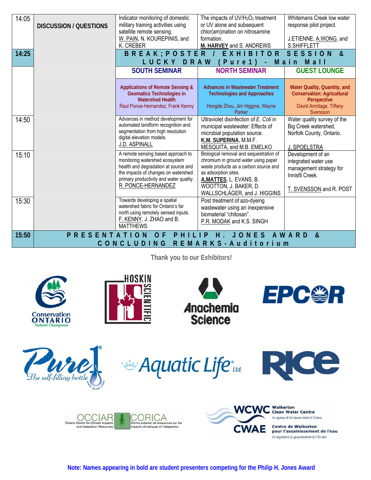| 14:05<br>14:25 | <b>DISCUSSION / QUESTIONS</b> | Indicator monitoring of domestic<br>military training activities using<br>satellite remote sensing.<br>W. PAIN, N. KOUREPINIS, and<br>K. CREBER<br><b>BREAK</b> ; <b>POSTER</b><br>LUCKY DRAW                        | The impacts of UV/H <sub>2</sub> O <sub>2</sub> treatment<br>or UV alone and subsequent<br>chlor(am)ination on nitrosamine<br>formation.<br>M. HARVEY and S. ANDREWS<br>EXHIBITOR<br>(Purre1)<br><b>College</b> | Whitemans Creek low water<br>response pilot project.<br>J.ETIENNE, A.WONG, and<br><b>S.SHIFFLETT</b><br><b>SESSION</b><br>$\boldsymbol{\alpha}$<br>Main<br>$M$ a $H$ |
|----------------|-------------------------------|----------------------------------------------------------------------------------------------------------------------------------------------------------------------------------------------------------------------|-----------------------------------------------------------------------------------------------------------------------------------------------------------------------------------------------------------------|----------------------------------------------------------------------------------------------------------------------------------------------------------------------|
|                |                               | <b>SOUTH SEMINAR</b>                                                                                                                                                                                                 | <b>NORTH SEMINAR</b>                                                                                                                                                                                            | <b>GUEST LOUNGE</b>                                                                                                                                                  |
|                |                               | <b>Applications of Remote Sensing &amp;</b><br><b>Geomatics Technologies in</b><br><b>Watershed Health</b><br>Raul Ponce-Hernandez, Frank Kenny                                                                      | <b>Advances in Wastewater Treatment</b><br><b>Technologies and Approaches</b><br>Hongde Zhou, Jim Higgins, Wayne<br>Parker                                                                                      | Water Quality, Quantity, and<br><b>Conservation: Agricultural</b><br><b>Perspective</b><br>David Armitage, Tiffany<br>Svensson                                       |
| 14:50          |                               | Advances in method development for<br>automated landform recognition and<br>segmentation from high resolution<br>digital elevation models.<br>J.D. ASPINALL                                                          | Ultraviolet disinfection of E. Coli in<br>municipal wastewater: Effects of<br>microbial population source.<br>K.M. SUPERINA, M.M.F.<br>MESQUITA, and M.B. EMELKO                                                | Water quality survey of the<br>Big Creek watershed,<br>Norfolk County, Ontario.<br>J. SPOELSTRA                                                                      |
| 15:10          |                               | A remote sensing based approach to<br>monitoring watershed ecosystem<br>health and degradation at source and<br>the impacts of changes on watershed<br>primary productivity and water quality.<br>R. PONCE-HERNANDEZ | Biological removal and sequestration of<br>chromium in ground water using paper<br>waste products as a carbon source and<br>as adsorption sites.<br>A.MATTES, L. EVANS, B.<br>WOOTTON, J. BAKER, D.             | Development of an<br>integrated water use<br>management strategy for<br>Innisfil Creek.<br>T. SVENSSON and R. POST                                                   |
| 15:30          |                               | Towards developing a spatial<br>watershed fabric for Ontario's far<br>north using remotely sensed inputs.<br>F. KENNY, J. ZHAO and B.<br><b>MATTHEWS</b>                                                             | WALLSCHLÄGER, and J. HIGGINS<br>Post treatment of azo-dyeing<br>wastewater using an inexpensive<br>biomaterial "chitosan".<br>P.R. MODAK and K.S. SINGH                                                         |                                                                                                                                                                      |
| 15:50          | PRESENTATI                    | $\Omega$<br>O <sub>N</sub><br>CONCLUDING                                                                                                                                                                             | ONFS<br>н<br>REMARKS-Auditorium                                                                                                                                                                                 | <b>AWARD</b><br>$\boldsymbol{\delta}$                                                                                                                                |

**Thank you to our Exhibitors!** 

















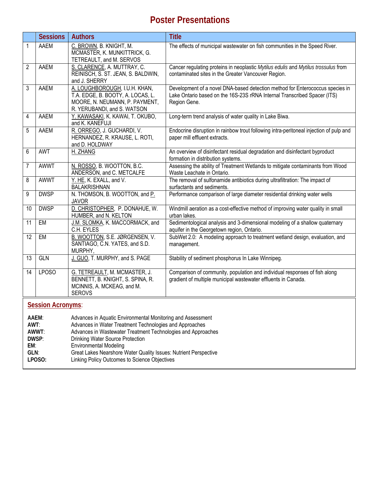## **Poster Presentations**

|                         | <b>Sessions</b> | <b>Authors</b>                                                                                                                      | <b>Title</b>                                                                                                                                                              |
|-------------------------|-----------------|-------------------------------------------------------------------------------------------------------------------------------------|---------------------------------------------------------------------------------------------------------------------------------------------------------------------------|
| 1                       | <b>AAEM</b>     | C. BROWN, B. KNIGHT, M.<br>MCMASTER, K. MUNKITTRICK, G.<br>TETREAULT, and M. SERVOS                                                 | The effects of municipal wastewater on fish communities in the Speed River.                                                                                               |
| $\overline{2}$          | AAEM            | S. CLARENCE, A. MUTTRAY, C.<br>REINISCH, S. ST. JEAN, S. BALDWIN,<br>and J. SHERRY                                                  | Cancer regulating proteins in neoplastic Mytilus edulis and Mytilus trossulus from<br>contaminated sites in the Greater Vancouver Region.                                 |
| 3                       | AAEM            | A. LOUGHBOROUGH, I.U.H. KHAN,<br>T.A. EDGE, B. BOOTY, A. LOCAS, L.<br>MOORE, N. NEUMANN, P. PAYMENT,<br>R. YERUBANDI, and S. WATSON | Development of a novel DNA-based detection method for Enterococcus species in<br>Lake Ontario based on the 16S-23S rRNA Internal Transcribed Spacer (ITS)<br>Region Gene. |
| $\overline{\mathbf{4}}$ | AAEM            | Y. KAWASAKI, K. KAWAI, T. OKUBO,<br>and K. KANEFUJI                                                                                 | Long-term trend analysis of water quality in Lake Biwa.                                                                                                                   |
| 5                       | AAEM            | R. ORREGO, J. GUCHARDI, V.<br>HERNANDEZ, R. KRAUSE, L. ROTI,<br>and D. HOLDWAY                                                      | Endocrine disruption in rainbow trout following intra-peritoneal injection of pulp and<br>paper mill effluent extracts.                                                   |
| 6                       | <b>AWT</b>      | H. ZHANG                                                                                                                            | An overview of disinfectant residual degradation and disinfectant byproduct<br>formation in distribution systems.                                                         |
| $\overline{7}$          | <b>AWWT</b>     | N. ROSSO, B. WOOTTON, B.C.<br>ANDERSON, and C. METCALFE                                                                             | Assessing the ability of Treatment Wetlands to mitigate contaminants from Wood<br>Waste Leachate in Ontario.                                                              |
| 8                       | <b>AWWT</b>     | Y. HE, K. EXALL, and V.<br><b>BALAKRISHNAN</b>                                                                                      | The removal of sulfonamide antibiotics during ultrafiltration: The impact of<br>surfactants and sediments.                                                                |
| 9                       | <b>DWSP</b>     | N. THOMSON, B. WOOTTON, and P.<br><b>JAVOR</b>                                                                                      | Performance comparison of large diameter residential drinking water wells                                                                                                 |
| 10                      | <b>DWSP</b>     | D. CHRISTOPHER, P. DONAHUE, W.<br>HUMBER, and N. KELTON                                                                             | Windmill aeration as a cost-effective method of improving water quality in small<br>urban lakes.                                                                          |
| 11                      | EM              | J.M. SLOMKA, K. MACCORMACK, and<br>C.H. EYLES                                                                                       | Sedimentological analysis and 3-dimensional modeling of a shallow quaternary<br>aquifer in the Georgetown region, Ontario.                                                |
| 12                      | EM              | B. WOOTTON, S.E. JØRGENSEN, V.<br>SANTIAGO, C.N. YATES, and S.D.<br>MURPHY,                                                         | SubWet 2.0: A modeling approach to treatment wetland design, evaluation, and<br>management.                                                                               |
| 13                      | <b>GLN</b>      | J. GUO, T. MURPHY, and S. PAGE                                                                                                      | Stability of sediment phosphorus In Lake Winnipeg.                                                                                                                        |
| 14                      | <b>LPOSO</b>    | G. TETREAULT, M. MCMASTER, J.<br>BENNETT, B. KNIGHT, S. SPINA, R.<br>MCINNIS, A. MCKEAG, and M.<br><b>SEROVS</b>                    | Comparison of community, population and individual responses of fish along<br>gradient of multiple municipal wastewater effluents in Canada.                              |

### **Session Acronyms**:

| AAEM:  | Advances in Aquatic Environmental Monitoring and Assessment      |
|--------|------------------------------------------------------------------|
| AWT:   | Advances in Water Treatment Technologies and Approaches          |
| AWWT:  | Advances in Wastewater Treatment Technologies and Approaches     |
| DWSP:  | Drinking Water Source Protection                                 |
| EM:    | <b>Environmental Modeling</b>                                    |
| GLN:   | Great Lakes Nearshore Water Quality Issues: Nutrient Perspective |
| LPOSO: | Linking Policy Outcomes to Science Objectives                    |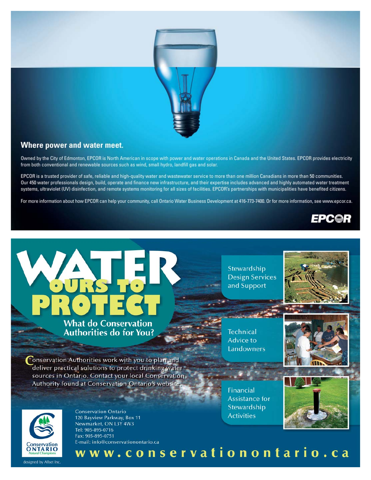

#### Where power and water meet.

Owned by the City of Edmonton, EPCOR is North American in scope with power and water operations in Canada and the United States. EPCOR provides electricity from both conventional and renewable sources such as wind, small hydro, landfill gas and solar.

EPCOR is a trusted provider of safe, reliable and high-quality water and wastewater service to more than one million Canadians in more than 50 communities. Our 450 water professionals design, build, operate and finance new infrastructure, and their expertise includes advanced and highly automated water treatment systems, ultraviolet (UV) disinfection, and remote systems monitoring for all sizes of facilities. EPCOR's partnerships with municipalities have benefited citizens.

For more information about how EPCOR can help your community, call Ontario Water Business Development at 416-773-7400. Or for more information, see www.epcor.ca.



# **What do Conservation Authorities do for You?**

Stewardship **Design Services** and Support



Technical **Advice to** Landowners



Conservation Authorities work with you to plan and deliver practical solutions to protect drinking water sources in Ontario. Contact your local Conservation Authority found at Conservation Ontario's website.

**ONTARIO** 

**Conservation Ontario** 120 Bayview Parkway, Box 11 Newmarket, ON L3Y 4W3 Tel: 905-895-0716 Fax: 905-895-0751 E-mail: info@conservationontario.ca Financial **Assistance for** Stewardship **Activities** 

www.conservationontario.ca



#### designed by Allset Inc.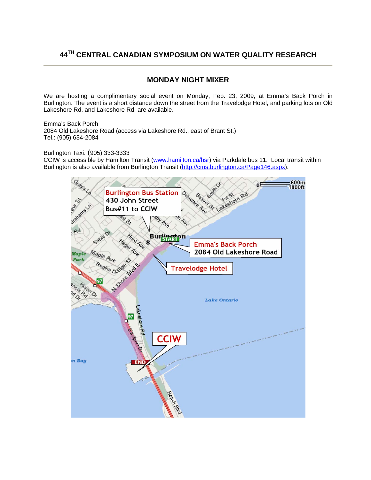### **44TH CENTRAL CANADIAN SYMPOSIUM ON WATER QUALITY RESEARCH**

#### **MONDAY NIGHT MIXER**

We are hosting a complimentary social event on Monday, Feb. 23, 2009, at Emma's Back Porch in Burlington. The event is a short distance down the street from the Travelodge Hotel, and parking lots on Old Lakeshore Rd. and Lakeshore Rd. are available.

Emma's Back Porch 2084 Old Lakeshore Road (access via Lakeshore Rd., east of Brant St.) Tel.: (905) 634-2084

Burlington Taxi: (905) 333-3333

CCIW is accessible by Hamilton Transit (www.hamilton.ca/hsr) via Parkdale bus 11. Local transit within Burlington is also available from Burlington Transit (http://cms.burlington.ca/Page146.aspx).